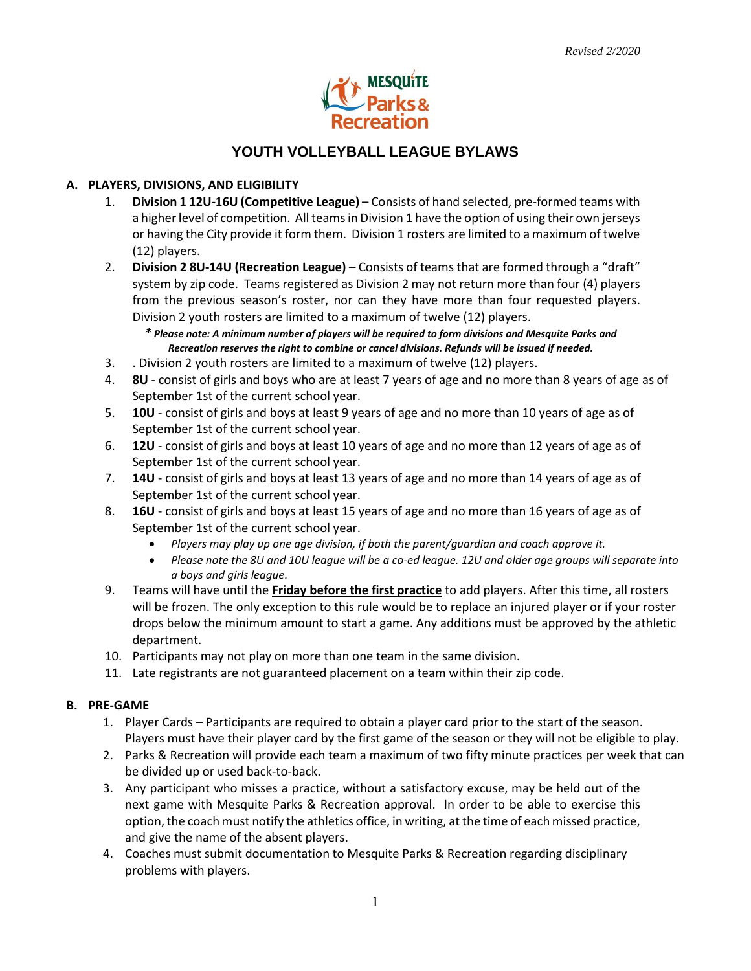

# **YOUTH VOLLEYBALL LEAGUE BYLAWS**

## **A. PLAYERS, DIVISIONS, AND ELIGIBILITY**

- 1. **Division 1 12U-16U (Competitive League)** Consists of hand selected, pre-formed teams with a higher level of competition. All teams in Division 1 have the option of using their own jerseys or having the City provide it form them. Division 1 rosters are limited to a maximum of twelve (12) players.
- 2. **Division 2 8U-14U (Recreation League)**  Consists of teams that are formed through a "draft" system by zip code. Teams registered as Division 2 may not return more than four (4) players from the previous season's roster, nor can they have more than four requested players. Division 2 youth rosters are limited to a maximum of twelve (12) players.

*\* Please note: A minimum number of players will be required to form divisions and Mesquite Parks and Recreation reserves the right to combine or cancel divisions. Refunds will be issued if needed.*

- 3. . Division 2 youth rosters are limited to a maximum of twelve (12) players.
- 4. **8U** consist of girls and boys who are at least 7 years of age and no more than 8 years of age as of September 1st of the current school year.
- 5. **10U** consist of girls and boys at least 9 years of age and no more than 10 years of age as of September 1st of the current school year.
- 6. **12U** consist of girls and boys at least 10 years of age and no more than 12 years of age as of September 1st of the current school year.
- 7. **14U** consist of girls and boys at least 13 years of age and no more than 14 years of age as of September 1st of the current school year.
- 8. **16U** consist of girls and boys at least 15 years of age and no more than 16 years of age as of September 1st of the current school year.
	- *Players may play up one age division, if both the parent/guardian and coach approve it.*
	- *Please note the 8U and 10U league will be a co-ed league. 12U and older age groups will separate into a boys and girls league.*
- 9. Teams will have until the **Friday before the first practice** to add players. After this time, all rosters will be frozen. The only exception to this rule would be to replace an injured player or if your roster drops below the minimum amount to start a game. Any additions must be approved by the athletic department.
- 10. Participants may not play on more than one team in the same division.
- 11. Late registrants are not guaranteed placement on a team within their zip code.

### **B. PRE-GAME**

- 1. Player Cards Participants are required to obtain a player card prior to the start of the season. Players must have their player card by the first game of the season or they will not be eligible to play.
- 2. Parks & Recreation will provide each team a maximum of two fifty minute practices per week that can be divided up or used back-to-back.
- 3. Any participant who misses a practice, without a satisfactory excuse, may be held out of the next game with Mesquite Parks & Recreation approval. In order to be able to exercise this option, the coach must notify the athletics office, in writing, at the time of each missed practice, and give the name of the absent players.
- 4. Coaches must submit documentation to Mesquite Parks & Recreation regarding disciplinary problems with players.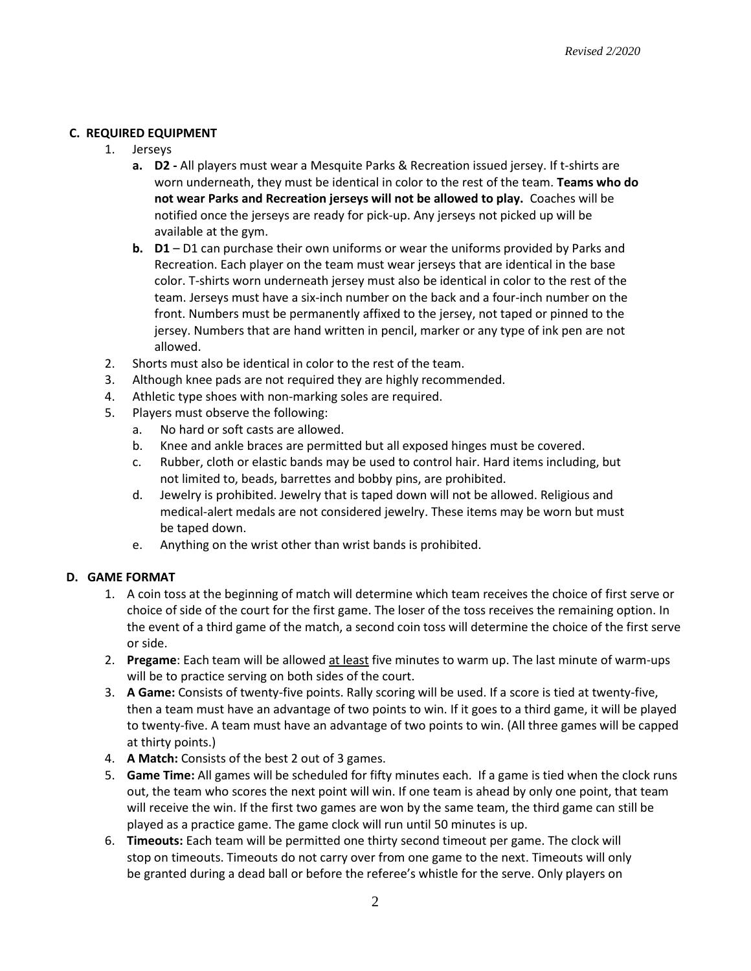## **C. REQUIRED EQUIPMENT**

- 1. Jerseys
	- **a. D2 -** All players must wear a Mesquite Parks & Recreation issued jersey. If t-shirts are worn underneath, they must be identical in color to the rest of the team. **Teams who do not wear Parks and Recreation jerseys will not be allowed to play.** Coaches will be notified once the jerseys are ready for pick-up. Any jerseys not picked up will be available at the gym.
	- **b. D1** D1 can purchase their own uniforms or wear the uniforms provided by Parks and Recreation. Each player on the team must wear jerseys that are identical in the base color. T-shirts worn underneath jersey must also be identical in color to the rest of the team. Jerseys must have a six-inch number on the back and a four-inch number on the front. Numbers must be permanently affixed to the jersey, not taped or pinned to the jersey. Numbers that are hand written in pencil, marker or any type of ink pen are not allowed.
- 2. Shorts must also be identical in color to the rest of the team.
- 3. Although knee pads are not required they are highly recommended.
- 4. Athletic type shoes with non-marking soles are required.
- 5. Players must observe the following:
	- a. No hard or soft casts are allowed.
	- b. Knee and ankle braces are permitted but all exposed hinges must be covered.
	- c. Rubber, cloth or elastic bands may be used to control hair. Hard items including, but not limited to, beads, barrettes and bobby pins, are prohibited.
	- d. Jewelry is prohibited. Jewelry that is taped down will not be allowed. Religious and medical-alert medals are not considered jewelry. These items may be worn but must be taped down.
	- e. Anything on the wrist other than wrist bands is prohibited.

#### **D. GAME FORMAT**

- 1. A coin toss at the beginning of match will determine which team receives the choice of first serve or choice of side of the court for the first game. The loser of the toss receives the remaining option. In the event of a third game of the match, a second coin toss will determine the choice of the first serve or side.
- 2. **Pregame**: Each team will be allowed at least five minutes to warm up. The last minute of warm-ups will be to practice serving on both sides of the court.
- 3. **A Game:** Consists of twenty-five points. Rally scoring will be used. If a score is tied at twenty-five, then a team must have an advantage of two points to win. If it goes to a third game, it will be played to twenty-five. A team must have an advantage of two points to win. (All three games will be capped at thirty points.)
- 4. **A Match:** Consists of the best 2 out of 3 games.
- 5. **Game Time:** All games will be scheduled for fifty minutes each. If a game is tied when the clock runs out, the team who scores the next point will win. If one team is ahead by only one point, that team will receive the win. If the first two games are won by the same team, the third game can still be played as a practice game. The game clock will run until 50 minutes is up.
- 6. **Timeouts:** Each team will be permitted one thirty second timeout per game. The clock will stop on timeouts. Timeouts do not carry over from one game to the next. Timeouts will only be granted during a dead ball or before the referee's whistle for the serve. Only players on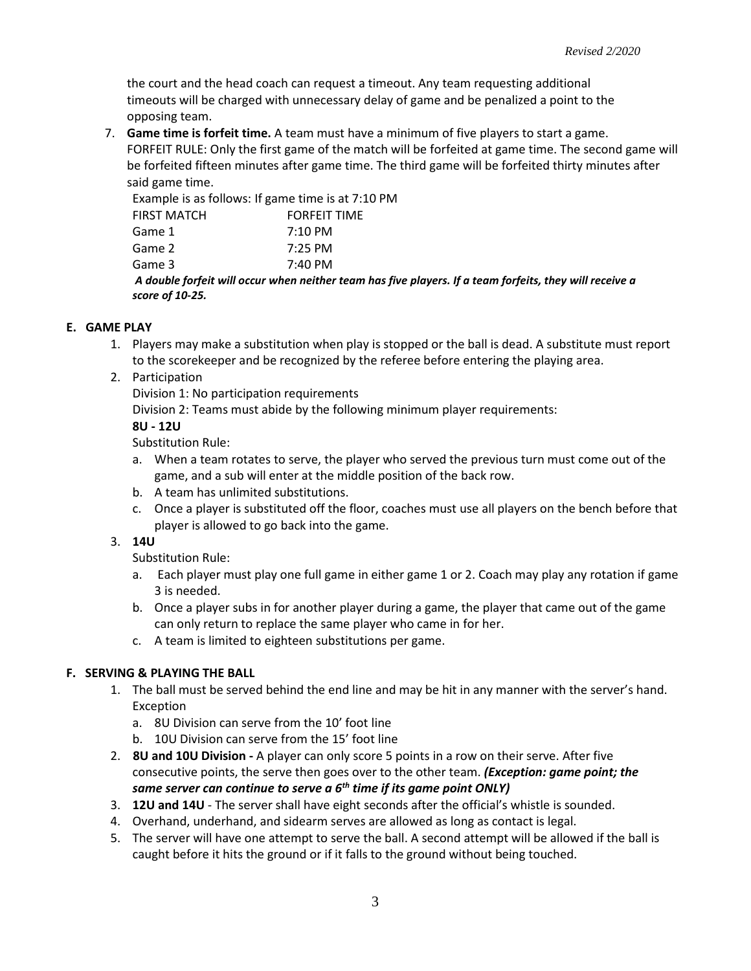the court and the head coach can request a timeout. Any team requesting additional timeouts will be charged with unnecessary delay of game and be penalized a point to the opposing team.

7. **Game time is forfeit time.** A team must have a minimum of five players to start a game. FORFEIT RULE: Only the first game of the match will be forfeited at game time. The second game will be forfeited fifteen minutes after game time. The third game will be forfeited thirty minutes after said game time.

Example is as follows: If game time is at 7:10 PM

| score of 10-25.    |                     |                                                                                                         |
|--------------------|---------------------|---------------------------------------------------------------------------------------------------------|
|                    |                     | A double forfeit will occur when neither team has five players. If a team forfeits, they will receive a |
| Game 3             | $7:40 \text{ PM}$   |                                                                                                         |
| Game 2             | $7:25$ PM           |                                                                                                         |
| Game 1             | $7:10 \text{ PM}$   |                                                                                                         |
| <b>FIRST MATCH</b> | <b>FORFEIT TIME</b> |                                                                                                         |

## **E. GAME PLAY**

- 1. Players may make a substitution when play is stopped or the ball is dead. A substitute must report to the scorekeeper and be recognized by the referee before entering the playing area.
- 2. Participation

Division 1: No participation requirements

Division 2: Teams must abide by the following minimum player requirements:

## **8U - 12U**

Substitution Rule:

- a. When a team rotates to serve, the player who served the previous turn must come out of the game, and a sub will enter at the middle position of the back row.
- b. A team has unlimited substitutions.
- c. Once a player is substituted off the floor, coaches must use all players on the bench before that player is allowed to go back into the game.

### 3. **14U**

Substitution Rule:

- a. Each player must play one full game in either game 1 or 2. Coach may play any rotation if game 3 is needed.
- b. Once a player subs in for another player during a game, the player that came out of the game can only return to replace the same player who came in for her.
- c. A team is limited to eighteen substitutions per game.

## **F. SERVING & PLAYING THE BALL**

- 1. The ball must be served behind the end line and may be hit in any manner with the server's hand. Exception
	- a. 8U Division can serve from the 10' foot line
	- b. 10U Division can serve from the 15' foot line
- 2. **8U and 10U Division -** A player can only score 5 points in a row on their serve. After five consecutive points, the serve then goes over to the other team. *(Exception: game point; the same server can continue to serve a 6th time if its game point ONLY)*
- 3. **12U and 14U** The server shall have eight seconds after the official's whistle is sounded.
- 4. Overhand, underhand, and sidearm serves are allowed as long as contact is legal.
- 5. The server will have one attempt to serve the ball. A second attempt will be allowed if the ball is caught before it hits the ground or if it falls to the ground without being touched.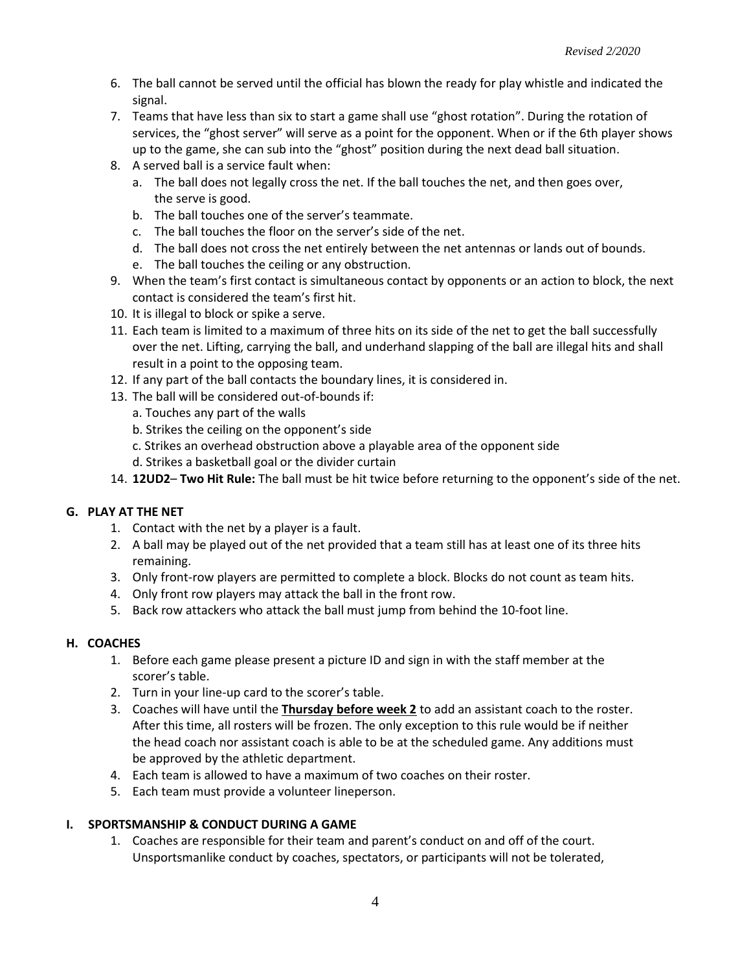- 6. The ball cannot be served until the official has blown the ready for play whistle and indicated the signal.
- 7. Teams that have less than six to start a game shall use "ghost rotation". During the rotation of services, the "ghost server" will serve as a point for the opponent. When or if the 6th player shows up to the game, she can sub into the "ghost" position during the next dead ball situation.
- 8. A served ball is a service fault when:
	- a. The ball does not legally cross the net. If the ball touches the net, and then goes over, the serve is good.
	- b. The ball touches one of the server's teammate.
	- c. The ball touches the floor on the server's side of the net.
	- d. The ball does not cross the net entirely between the net antennas or lands out of bounds.
	- e. The ball touches the ceiling or any obstruction.
- 9. When the team's first contact is simultaneous contact by opponents or an action to block, the next contact is considered the team's first hit.
- 10. It is illegal to block or spike a serve.
- 11. Each team is limited to a maximum of three hits on its side of the net to get the ball successfully over the net. Lifting, carrying the ball, and underhand slapping of the ball are illegal hits and shall result in a point to the opposing team.
- 12. If any part of the ball contacts the boundary lines, it is considered in.
- 13. The ball will be considered out-of-bounds if:
	- a. Touches any part of the walls
	- b. Strikes the ceiling on the opponent's side
	- c. Strikes an overhead obstruction above a playable area of the opponent side
	- d. Strikes a basketball goal or the divider curtain
- 14. **12UD2 Two Hit Rule:** The ball must be hit twice before returning to the opponent's side of the net.

### **G. PLAY AT THE NET**

- 1. Contact with the net by a player is a fault.
- 2. A ball may be played out of the net provided that a team still has at least one of its three hits remaining.
- 3. Only front-row players are permitted to complete a block. Blocks do not count as team hits.
- 4. Only front row players may attack the ball in the front row.
- 5. Back row attackers who attack the ball must jump from behind the 10-foot line.

### **H. COACHES**

- 1. Before each game please present a picture ID and sign in with the staff member at the scorer's table.
- 2. Turn in your line-up card to the scorer's table.
- 3. Coaches will have until the **Thursday before week 2** to add an assistant coach to the roster. After this time, all rosters will be frozen. The only exception to this rule would be if neither the head coach nor assistant coach is able to be at the scheduled game. Any additions must be approved by the athletic department.
- 4. Each team is allowed to have a maximum of two coaches on their roster.
- 5. Each team must provide a volunteer lineperson.

## **I. SPORTSMANSHIP & CONDUCT DURING A GAME**

1. Coaches are responsible for their team and parent's conduct on and off of the court. Unsportsmanlike conduct by coaches, spectators, or participants will not be tolerated,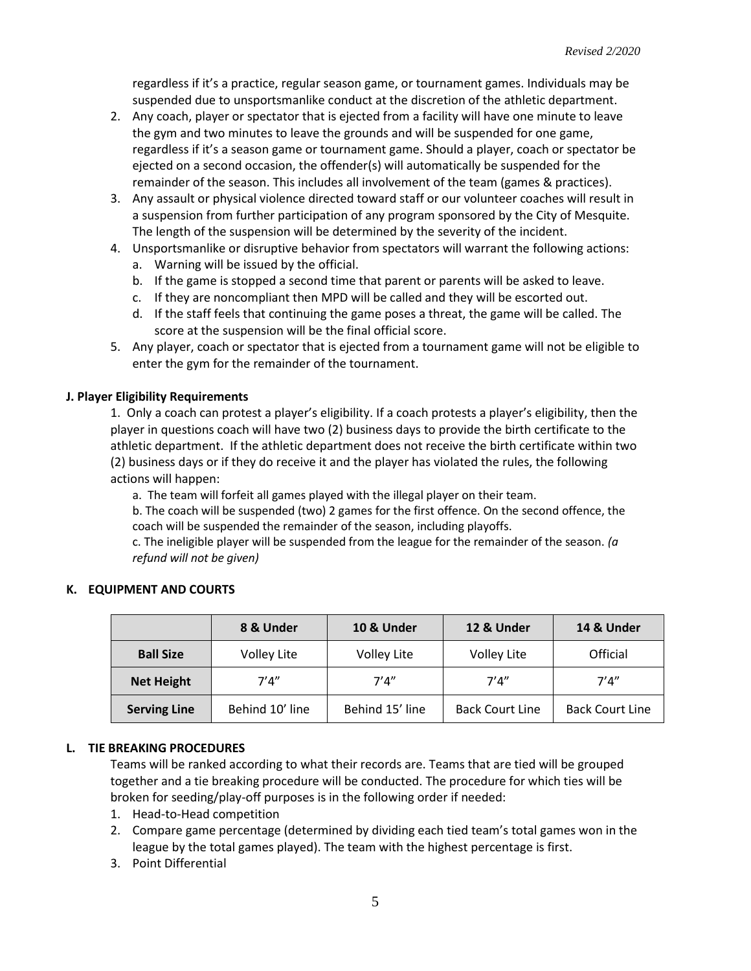regardless if it's a practice, regular season game, or tournament games. Individuals may be suspended due to unsportsmanlike conduct at the discretion of the athletic department.

- 2. Any coach, player or spectator that is ejected from a facility will have one minute to leave the gym and two minutes to leave the grounds and will be suspended for one game, regardless if it's a season game or tournament game. Should a player, coach or spectator be ejected on a second occasion, the offender(s) will automatically be suspended for the remainder of the season. This includes all involvement of the team (games & practices).
- 3. Any assault or physical violence directed toward staff or our volunteer coaches will result in a suspension from further participation of any program sponsored by the City of Mesquite. The length of the suspension will be determined by the severity of the incident.
- 4. Unsportsmanlike or disruptive behavior from spectators will warrant the following actions:
	- a. Warning will be issued by the official.
	- b. If the game is stopped a second time that parent or parents will be asked to leave.
	- c. If they are noncompliant then MPD will be called and they will be escorted out.
	- d. If the staff feels that continuing the game poses a threat, the game will be called. The score at the suspension will be the final official score.
- 5. Any player, coach or spectator that is ejected from a tournament game will not be eligible to enter the gym for the remainder of the tournament.

## **J. Player Eligibility Requirements**

1. Only a coach can protest a player's eligibility. If a coach protests a player's eligibility, then the player in questions coach will have two (2) business days to provide the birth certificate to the athletic department. If the athletic department does not receive the birth certificate within two (2) business days or if they do receive it and the player has violated the rules, the following actions will happen:

a. The team will forfeit all games played with the illegal player on their team.

b. The coach will be suspended (two) 2 games for the first offence. On the second offence, the coach will be suspended the remainder of the season, including playoffs.

c. The ineligible player will be suspended from the league for the remainder of the season. *(a refund will not be given)* 

|                     | 8 & Under       | <b>10 &amp; Under</b> | 12 & Under             | 14 & Under             |
|---------------------|-----------------|-----------------------|------------------------|------------------------|
| <b>Ball Size</b>    | Volley Lite     | Volley Lite           | <b>Volley Lite</b>     | Official               |
| <b>Net Height</b>   | 7'4''           | 7'4''                 | 7'4''                  | 7'4''                  |
| <b>Serving Line</b> | Behind 10' line | Behind 15' line       | <b>Back Court Line</b> | <b>Back Court Line</b> |

### **K. EQUIPMENT AND COURTS**

### **L. TIE BREAKING PROCEDURES**

Teams will be ranked according to what their records are. Teams that are tied will be grouped together and a tie breaking procedure will be conducted. The procedure for which ties will be broken for seeding/play-off purposes is in the following order if needed:

- 1. Head-to-Head competition
- 2. Compare game percentage (determined by dividing each tied team's total games won in the league by the total games played). The team with the highest percentage is first.
- 3. Point Differential